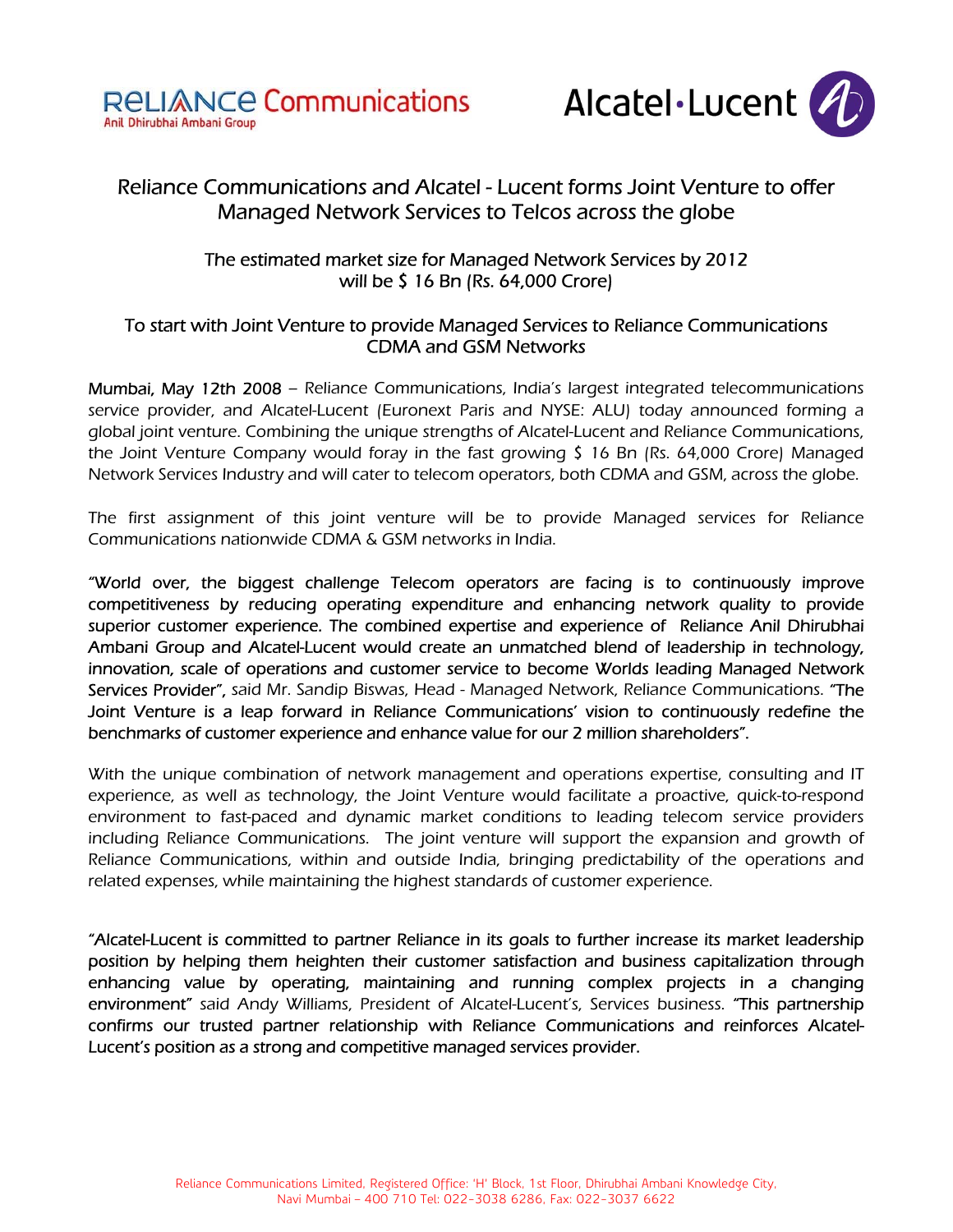



# Reliance Communications and Alcatel - Lucent forms Joint Venture to offer Managed Network Services to Telcos across the globe

# The estimated market size for Managed Network Services by 2012 will be \$ 16 Bn (Rs. 64,000 Crore)

# To start with Joint Venture to provide Managed Services to Reliance Communications CDMA and GSM Networks

Mumbai, May 12th 2008 – Reliance Communications, India's largest integrated telecommunications service provider, and Alcatel-Lucent (Euronext Paris and NYSE: ALU) today announced forming a global joint venture. Combining the unique strengths of Alcatel-Lucent and Reliance Communications, the Joint Venture Company would foray in the fast growing \$ 16 Bn (Rs. 64,000 Crore) Managed Network Services Industry and will cater to telecom operators, both CDMA and GSM, across the globe.

The first assignment of this joint venture will be to provide Managed services for Reliance Communications nationwide CDMA & GSM networks in India.

"World over, the biggest challenge Telecom operators are facing is to continuously improve competitiveness by reducing operating expenditure and enhancing network quality to provide superior customer experience. The combined expertise and experience of Reliance Anil Dhirubhai Ambani Group and Alcatel-Lucent would create an unmatched blend of leadership in technology, innovation, scale of operations and customer service to become Worlds leading Managed Network Services Provider", said Mr. Sandip Biswas, Head - Managed Network, Reliance Communications. "The Joint Venture is a leap forward in Reliance Communications' vision to continuously redefine the benchmarks of customer experience and enhance value for our 2 million shareholders".

With the unique combination of network management and operations expertise, consulting and IT experience, as well as technology, the Joint Venture would facilitate a proactive, quick-to-respond environment to fast-paced and dynamic market conditions to leading telecom service providers including Reliance Communications. The joint venture will support the expansion and growth of Reliance Communications, within and outside India, bringing predictability of the operations and related expenses, while maintaining the highest standards of customer experience.

"Alcatel-Lucent is committed to partner Reliance in its goals to further increase its market leadership position by helping them heighten their customer satisfaction and business capitalization through enhancing value by operating, maintaining and running complex projects in a changing environment" said Andy Williams, President of Alcatel-Lucent's, Services business. "This partnership confirms our trusted partner relationship with Reliance Communications and reinforces Alcatel-Lucent's position as a strong and competitive managed services provider.